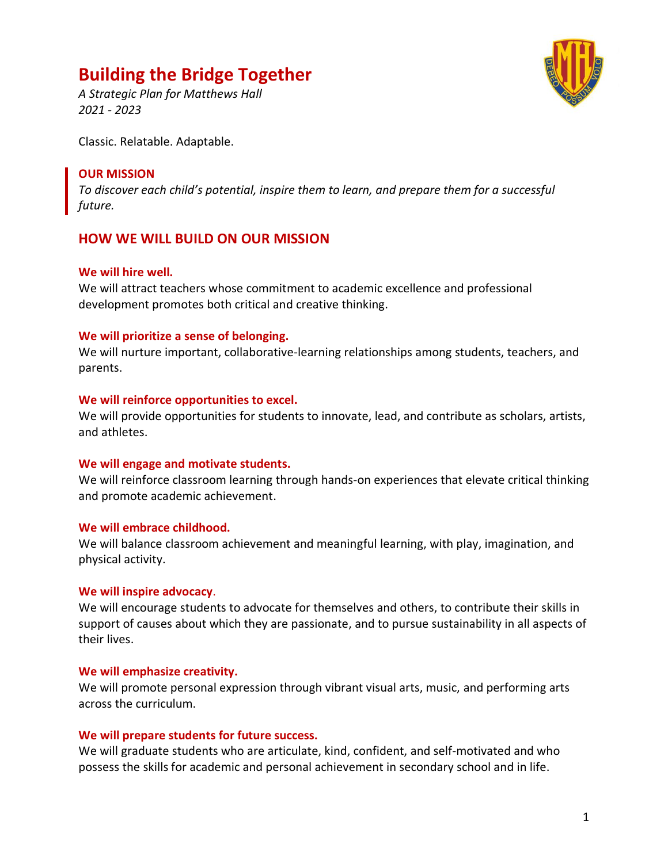# **Building the Bridge Together**



*A Strategic Plan for Matthews Hall 2021 - 2023*

Classic. Relatable. Adaptable.

## **OUR MISSION**

*To discover each child's potential, inspire them to learn, and prepare them for a successful future.*

# **HOW WE WILL BUILD ON OUR MISSION**

#### **We will hire well.**

We will attract teachers whose commitment to academic excellence and professional development promotes both critical and creative thinking.

### **We will prioritize a sense of belonging.**

We will nurture important, collaborative-learning relationships among students, teachers, and parents.

#### **We will reinforce opportunities to excel.**

We will provide opportunities for students to innovate, lead, and contribute as scholars, artists, and athletes.

### **We will engage and motivate students.**

We will reinforce classroom learning through hands-on experiences that elevate critical thinking and promote academic achievement.

### **We will embrace childhood.**

We will balance classroom achievement and meaningful learning, with play, imagination, and physical activity.

### **We will inspire advocacy**.

We will encourage students to advocate for themselves and others, to contribute their skills in support of causes about which they are passionate, and to pursue sustainability in all aspects of their lives.

### **We will emphasize creativity.**

We will promote personal expression through vibrant visual arts, music, and performing arts across the curriculum.

### **We will prepare students for future success.**

We will graduate students who are articulate, kind, confident, and self-motivated and who possess the skills for academic and personal achievement in secondary school and in life.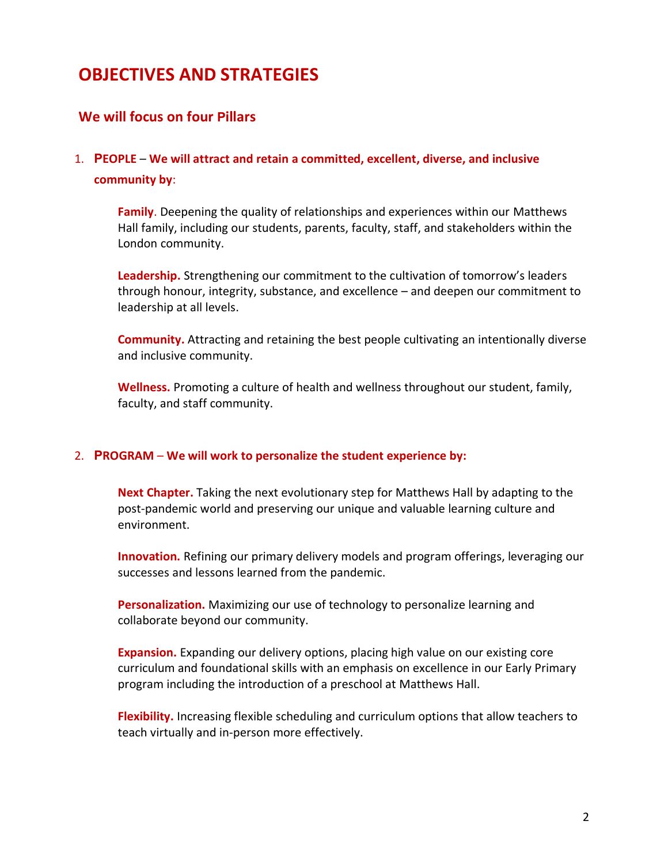# **OBJECTIVES AND STRATEGIES**

## **We will focus on four Pillars**

# 1. **PEOPLE** – **We will attract and retain a committed, excellent, diverse, and inclusive community by**:

**Family**. Deepening the quality of relationships and experiences within our Matthews Hall family, including our students, parents, faculty, staff, and stakeholders within the London community.

**Leadership.** Strengthening our commitment to the cultivation of tomorrow's leaders through honour, integrity, substance, and excellence – and deepen our commitment to leadership at all levels.

**Community.** Attracting and retaining the best people cultivating an intentionally diverse and inclusive community.

**Wellness.** Promoting a culture of health and wellness throughout our student, family, faculty, and staff community.

#### 2. **PROGRAM** – **We will work to personalize the student experience by:**

**Next Chapter.** Taking the next evolutionary step for Matthews Hall by adapting to the post-pandemic world and preserving our unique and valuable learning culture and environment.

**Innovation.** Refining our primary delivery models and program offerings, leveraging our successes and lessons learned from the pandemic.

**Personalization.** Maximizing our use of technology to personalize learning and collaborate beyond our community.

**Expansion.** Expanding our delivery options, placing high value on our existing core curriculum and foundational skills with an emphasis on excellence in our Early Primary program including the introduction of a preschool at Matthews Hall.

**Flexibility.** Increasing flexible scheduling and curriculum options that allow teachers to teach virtually and in-person more effectively.